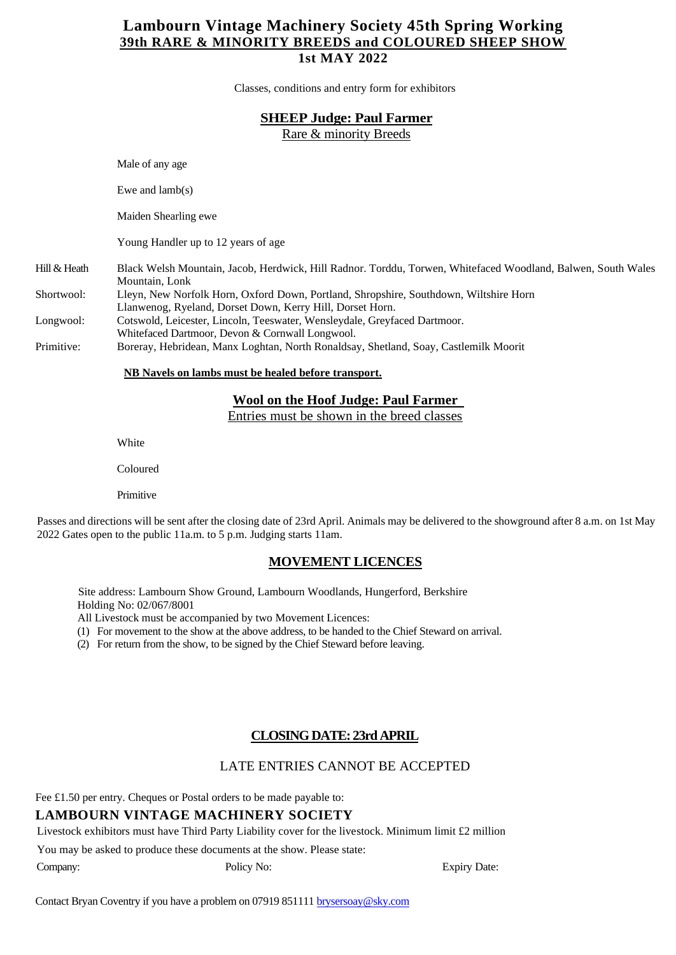## **Lambourn Vintage Machinery Society 45th Spring Working 39th RARE & MINORITY BREEDS and COLOURED SHEEP SHOW 1st MAY 2022**

Classes, conditions and entry form for exhibitors

#### **SHEEP Judge: Paul Farmer**

Rare & minority Breeds

Male of any age Ewe and lamb(s) Maiden Shearling ewe Young Handler up to 12 years of age Hill& Heath Black Welsh Mountain, Jacob, Herdwick, Hill Radnor. Torddu, Torwen, Whitefaced Woodland, Balwen, South Wales Mountain, Lonk Shortwool: Lleyn, New Norfolk Horn, Oxford Down, Portland, Shropshire, Southdown, Wiltshire Horn Llanwenog, Ryeland, Dorset Down, Kerry Hill, Dorset Horn. Longwool: Cotswold, Leicester, Lincoln, Teeswater, Wensleydale, Greyfaced Dartmoor. Whitefaced Dartmoor, Devon & Cornwall Longwool. Primitive: Boreray, Hebridean, Manx Loghtan, North Ronaldsay, Shetland, Soay, Castlemilk Moorit

**NB Navels on lambs must be healed before transport.**

#### **Wool on the Hoof Judge: Paul Farmer**

Entries must be shown in the breed classes

**White** 

Coloured

Primitive

Passes and directions will be sent after the closing date of 23rd April. Animals may be delivered to the showground after 8 a.m. on 1st May 2022 Gates open to the public 11a.m. to 5 p.m. Judging starts 11am.

#### **MOVEMENT LICENCES**

Site address: Lambourn Show Ground, Lambourn Woodlands, Hungerford, Berkshire Holding No: 02/067/8001

All Livestock must be accompanied by two Movement Licences:

(1) For movement to the show at the above address, to be handed to the Chief Steward on arrival.

(2) For return from the show, to be signed by the Chief Steward before leaving.

## **CLOSING DATE: 23rdAPRIL**

## LATE ENTRIES CANNOT BE ACCEPTED

Fee £1.50 per entry. Cheques or Postal orders to be made payable to:

## **LAMBOURN VINTAGE MACHINERY SOCIETY**

Livestock exhibitors must have Third Party Liability cover for the livestock. Minimum limit £2 million

You may be asked to produce these documents at the show. Please state:

Company: Policy No: Expiry Date: